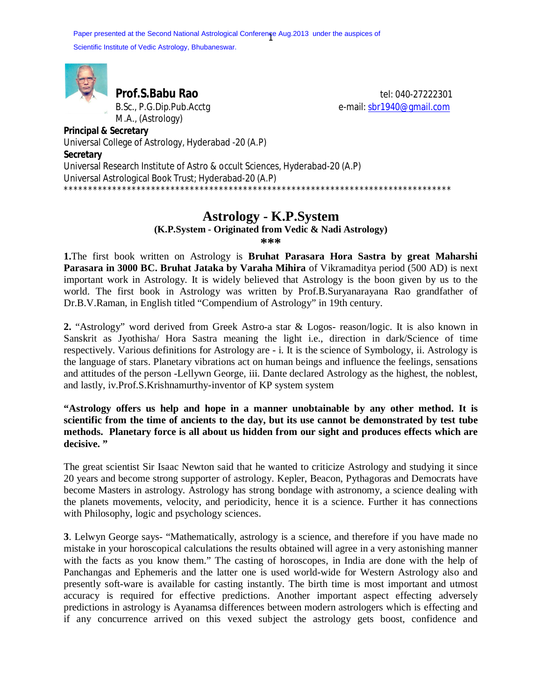Paper presented at the Second National Astrological Conference Aug.2013 under the auspices of Scientific Institute of Vedic Astrology, Bhubaneswar.



M.A., (Astrology)

**Prof.S.Babu Rao** tel: 040-27222301 B.Sc., P.G.Dip.Pub.Acctg e-mail: sbr1940@gmail.com

**Principal & Secretary** Universal College of Astrology, Hyderabad -20 (A.P) **Secretary** Universal Research Institute of Astro & occult Sciences, Hyderabad-20 (A.P) Universal Astrological Book Trust; Hyderabad-20 (A.P) \*\*\*\*\*\*\*\*\*\*\*\*\*\*\*\*\*\*\*\*\*\*\*\*\*\*\*\*\*\*\*\*\*\*\*\*\*\*\*\*\*\*\*\*\*\*\*\*\*\*\*\*\*\*\*\*\*\*\*\*\*\*\*\*\*\*\*\*\*\*\*\*\*\*\*\*\*\*\*\*

## **Astrology - K.P.System**

**(K.P.System - Originated from Vedic & Nadi Astrology)**

**\*\*\*** 

**1.**The first book written on Astrology is **Bruhat Parasara Hora Sastra by great Maharshi Parasara in 3000 BC. Bruhat Jataka by Varaha Mihira** of Vikramaditya period (500 AD) is next important work in Astrology. It is widely believed that Astrology is the boon given by us to the world. The first book in Astrology was written by Prof.B.Suryanarayana Rao grandfather of Dr.B.V.Raman, in English titled "Compendium of Astrology" in 19th century.

**2.** "Astrology" word derived from Greek Astro-a star & Logos- reason/logic. It is also known in Sanskrit as Jyothisha/ Hora Sastra meaning the light i.e., direction in dark/Science of time respectively. Various definitions for Astrology are - i. It is the science of Symbology, ii. Astrology is the language of stars. Planetary vibrations act on human beings and influence the feelings, sensations and attitudes of the person -Lellywn George, iii. Dante declared Astrology as the highest, the noblest, and lastly, iv.Prof.S.Krishnamurthy-inventor of KP system system

**"Astrology offers us help and hope in a manner unobtainable by any other method. It is scientific from the time of ancients to the day, but its use cannot be demonstrated by test tube methods. Planetary force is all about us hidden from our sight and produces effects which are decisive. "** 

The great scientist Sir Isaac Newton said that he wanted to criticize Astrology and studying it since 20 years and become strong supporter of astrology. Kepler, Beacon, Pythagoras and Democrats have become Masters in astrology. Astrology has strong bondage with astronomy, a science dealing with the planets movements, velocity, and periodicity, hence it is a science. Further it has connections with Philosophy, logic and psychology sciences.

**3**. Lelwyn George says- "Mathematically, astrology is a science, and therefore if you have made no mistake in your horoscopical calculations the results obtained will agree in a very astonishing manner with the facts as you know them." The casting of horoscopes, in India are done with the help of Panchangas and Ephemeris and the latter one is used world-wide for Western Astrology also and presently soft-ware is available for casting instantly. The birth time is most important and utmost accuracy is required for effective predictions. Another important aspect effecting adversely predictions in astrology is Ayanamsa differences between modern astrologers which is effecting and if any concurrence arrived on this vexed subject the astrology gets boost, confidence and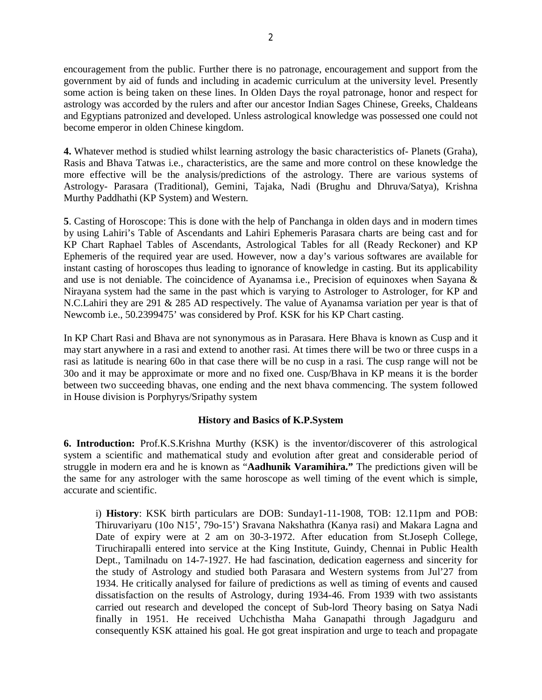encouragement from the public. Further there is no patronage, encouragement and support from the government by aid of funds and including in academic curriculum at the university level. Presently some action is being taken on these lines. In Olden Days the royal patronage, honor and respect for astrology was accorded by the rulers and after our ancestor Indian Sages Chinese, Greeks, Chaldeans and Egyptians patronized and developed. Unless astrological knowledge was possessed one could not become emperor in olden Chinese kingdom.

**4.** Whatever method is studied whilst learning astrology the basic characteristics of- Planets (Graha), Rasis and Bhava Tatwas i.e., characteristics, are the same and more control on these knowledge the more effective will be the analysis/predictions of the astrology. There are various systems of Astrology- Parasara (Traditional), Gemini, Tajaka, Nadi (Brughu and Dhruva/Satya), Krishna Murthy Paddhathi (KP System) and Western.

**5**. Casting of Horoscope: This is done with the help of Panchanga in olden days and in modern times by using Lahiri's Table of Ascendants and Lahiri Ephemeris Parasara charts are being cast and for KP Chart Raphael Tables of Ascendants, Astrological Tables for all (Ready Reckoner) and KP Ephemeris of the required year are used. However, now a day's various softwares are available for instant casting of horoscopes thus leading to ignorance of knowledge in casting. But its applicability and use is not deniable. The coincidence of Ayanamsa i.e., Precision of equinoxes when Sayana & Nirayana system had the same in the past which is varying to Astrologer to Astrologer, for KP and N.C.Lahiri they are 291 & 285 AD respectively. The value of Ayanamsa variation per year is that of Newcomb i.e., 50.2399475' was considered by Prof. KSK for his KP Chart casting.

In KP Chart Rasi and Bhava are not synonymous as in Parasara. Here Bhava is known as Cusp and it may start anywhere in a rasi and extend to another rasi. At times there will be two or three cusps in a rasi as latitude is nearing 60o in that case there will be no cusp in a rasi. The cusp range will not be 30o and it may be approximate or more and no fixed one. Cusp/Bhava in KP means it is the border between two succeeding bhavas, one ending and the next bhava commencing. The system followed in House division is Porphyrys/Sripathy system

## **History and Basics of K.P.System**

**6. Introduction:** Prof.K.S.Krishna Murthy (KSK) is the inventor/discoverer of this astrological system a scientific and mathematical study and evolution after great and considerable period of struggle in modern era and he is known as "**Aadhunik Varamihira."** The predictions given will be the same for any astrologer with the same horoscope as well timing of the event which is simple, accurate and scientific.

i) **History**: KSK birth particulars are DOB: Sunday1-11-1908, TOB: 12.11pm and POB: Thiruvariyaru (10o N15', 79o-15') Sravana Nakshathra (Kanya rasi) and Makara Lagna and Date of expiry were at 2 am on 30-3-1972. After education from St.Joseph College, Tiruchirapalli entered into service at the King Institute, Guindy, Chennai in Public Health Dept., Tamilnadu on 14-7-1927. He had fascination, dedication eagerness and sincerity for the study of Astrology and studied both Parasara and Western systems from Jul'27 from 1934. He critically analysed for failure of predictions as well as timing of events and caused dissatisfaction on the results of Astrology, during 1934-46. From 1939 with two assistants carried out research and developed the concept of Sub-lord Theory basing on Satya Nadi finally in 1951. He received Uchchistha Maha Ganapathi through Jagadguru and consequently KSK attained his goal. He got great inspiration and urge to teach and propagate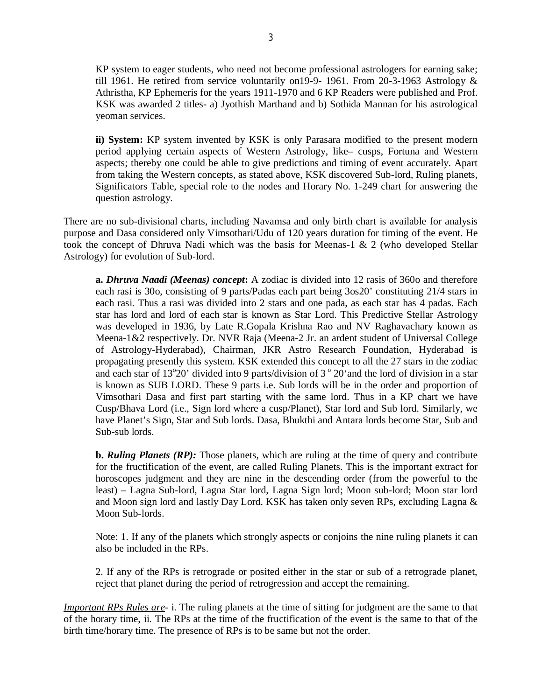KP system to eager students, who need not become professional astrologers for earning sake; till 1961. He retired from service voluntarily on19-9- 1961. From 20-3-1963 Astrology & Athristha, KP Ephemeris for the years 1911-1970 and 6 KP Readers were published and Prof. KSK was awarded 2 titles- a) Jyothish Marthand and b) Sothida Mannan for his astrological yeoman services.

**ii) System:** KP system invented by KSK is only Parasara modified to the present modern period applying certain aspects of Western Astrology, like– cusps, Fortuna and Western aspects; thereby one could be able to give predictions and timing of event accurately. Apart from taking the Western concepts, as stated above, KSK discovered Sub-lord, Ruling planets, Significators Table, special role to the nodes and Horary No. 1-249 chart for answering the question astrology.

There are no sub-divisional charts, including Navamsa and only birth chart is available for analysis purpose and Dasa considered only Vimsothari/Udu of 120 years duration for timing of the event. He took the concept of Dhruva Nadi which was the basis for Meenas-1 & 2 (who developed Stellar Astrology) for evolution of Sub-lord.

**a.** *Dhruva Naadi (Meenas) concept***:** A zodiac is divided into 12 rasis of 360o and therefore each rasi is 30o, consisting of 9 parts/Padas each part being 3os20' constituting 21/4 stars in each rasi. Thus a rasi was divided into 2 stars and one pada, as each star has 4 padas. Each star has lord and lord of each star is known as Star Lord. This Predictive Stellar Astrology was developed in 1936, by Late R.Gopala Krishna Rao and NV Raghavachary known as Meena-1&2 respectively. Dr. NVR Raja (Meena-2 Jr. an ardent student of Universal College of Astrology-Hyderabad), Chairman, JKR Astro Research Foundation, Hyderabad is propagating presently this system. KSK extended this concept to all the 27 stars in the zodiac and each star of  $13^{\circ}20'$  divided into 9 parts/division of  $3^{\circ}20'$  and the lord of division in a star is known as SUB LORD. These 9 parts i.e. Sub lords will be in the order and proportion of Vimsothari Dasa and first part starting with the same lord. Thus in a KP chart we have Cusp/Bhava Lord (i.e., Sign lord where a cusp/Planet), Star lord and Sub lord. Similarly, we have Planet's Sign, Star and Sub lords. Dasa, Bhukthi and Antara lords become Star, Sub and Sub-sub lords.

**b.** *Ruling Planets (RP):* Those planets, which are ruling at the time of query and contribute for the fructification of the event, are called Ruling Planets. This is the important extract for horoscopes judgment and they are nine in the descending order (from the powerful to the least) – Lagna Sub-lord, Lagna Star lord, Lagna Sign lord; Moon sub-lord; Moon star lord and Moon sign lord and lastly Day Lord. KSK has taken only seven RPs, excluding Lagna & Moon Sub-lords.

Note: 1. If any of the planets which strongly aspects or conjoins the nine ruling planets it can also be included in the RPs.

2. If any of the RPs is retrograde or posited either in the star or sub of a retrograde planet, reject that planet during the period of retrogression and accept the remaining.

*Important RPs Rules are*- i. The ruling planets at the time of sitting for judgment are the same to that of the horary time, ii. The RPs at the time of the fructification of the event is the same to that of the birth time/horary time. The presence of RPs is to be same but not the order.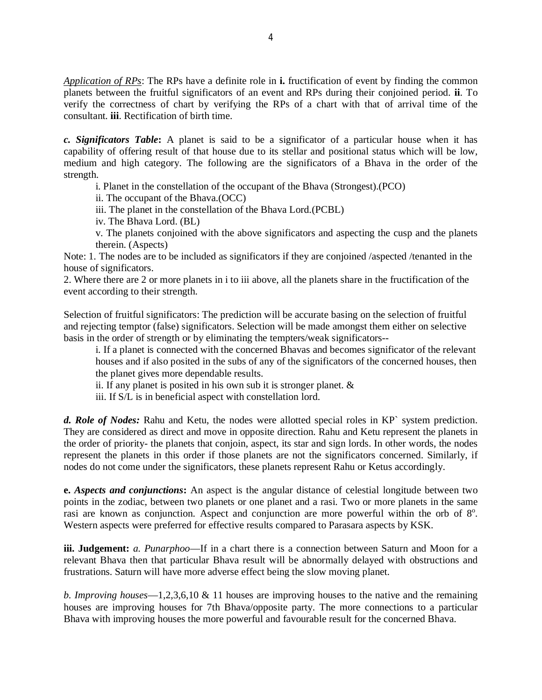*Application of RPs*: The RPs have a definite role in **i.** fructification of event by finding the common planets between the fruitful significators of an event and RPs during their conjoined period. **ii**. To verify the correctness of chart by verifying the RPs of a chart with that of arrival time of the consultant. **iii**. Rectification of birth time.

*c. Significators Table***:** A planet is said to be a significator of a particular house when it has capability of offering result of that house due to its stellar and positional status which will be low, medium and high category. The following are the significators of a Bhava in the order of the strength.

i. Planet in the constellation of the occupant of the Bhava (Strongest).(PCO)

ii. The occupant of the Bhava.(OCC)

iii. The planet in the constellation of the Bhava Lord.(PCBL)

iv. The Bhava Lord. (BL)

v. The planets conjoined with the above significators and aspecting the cusp and the planets therein. (Aspects)

Note: 1. The nodes are to be included as significators if they are conjoined /aspected /tenanted in the house of significators.

2. Where there are 2 or more planets in i to iii above, all the planets share in the fructification of the event according to their strength.

Selection of fruitful significators: The prediction will be accurate basing on the selection of fruitful and rejecting temptor (false) significators. Selection will be made amongst them either on selective basis in the order of strength or by eliminating the tempters/weak significators--

i. If a planet is connected with the concerned Bhavas and becomes significator of the relevant houses and if also posited in the subs of any of the significators of the concerned houses, then the planet gives more dependable results.

ii. If any planet is posited in his own sub it is stronger planet.  $\&$ 

iii. If S/L is in beneficial aspect with constellation lord.

*d. Role of Nodes:* Rahu and Ketu, the nodes were allotted special roles in KP` system prediction. They are considered as direct and move in opposite direction. Rahu and Ketu represent the planets in the order of priority- the planets that conjoin, aspect, its star and sign lords. In other words, the nodes represent the planets in this order if those planets are not the significators concerned. Similarly, if nodes do not come under the significators, these planets represent Rahu or Ketus accordingly.

**e.** *Aspects and conjunctions***:** An aspect is the angular distance of celestial longitude between two points in the zodiac, between two planets or one planet and a rasi. Two or more planets in the same rasi are known as conjunction. Aspect and conjunction are more powerful within the orb of  $8^\circ$ . Western aspects were preferred for effective results compared to Parasara aspects by KSK.

**iii. Judgement:** *a. Punarphoo*—If in a chart there is a connection between Saturn and Moon for a relevant Bhava then that particular Bhava result will be abnormally delayed with obstructions and frustrations. Saturn will have more adverse effect being the slow moving planet.

*b. Improving houses*—1,2,3,6,10 & 11 houses are improving houses to the native and the remaining houses are improving houses for 7th Bhava/opposite party. The more connections to a particular Bhava with improving houses the more powerful and favourable result for the concerned Bhava.